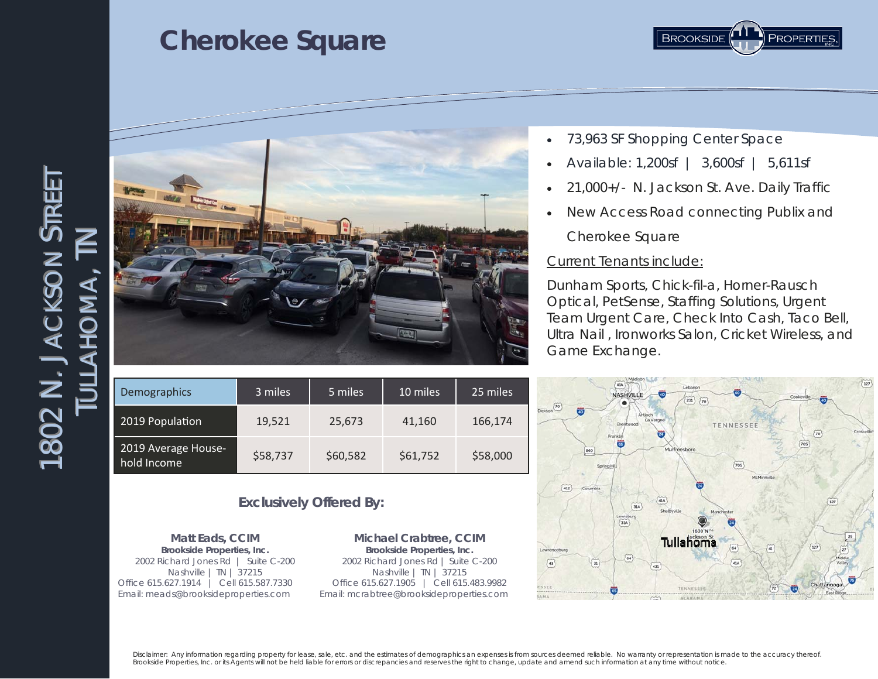



- 73,963 SF Shopping Center Space
- Available: 1,200sf | 3,600sf | 5,611sf
- 21,000+/- N. Jackson St. Ave. Daily Traffic
- New Access Road connecting Publix and Cherokee Square

#### Current Tenants include:

Dunham Sports, Chick-fil-a, Horner-Rausch Optical, PetSense, Staffing Solutions, Urgent Team Urgent Care, Check Into Cash, Taco Bell, Ultra Nail , Ironworks Salon, Cricket Wireless, and Game Exchange.

|                                            | Madison                             |                           |                     |                            |
|--------------------------------------------|-------------------------------------|---------------------------|---------------------|----------------------------|
|                                            | 41A                                 | Lebanon                   |                     | $\widetilde{127}$          |
|                                            | $\overline{40}$<br><b>NASHVILLE</b> |                           | ø                   | Cookeville<br>ō            |
| $Dickson\left(\overline{70}\right)$        |                                     | $\widetilde{70}$<br>231   |                     |                            |
| ö                                          | Antioch                             |                           |                     |                            |
|                                            | La Vergne<br>Brentwood              |                           | TENNESSEE           |                            |
|                                            | 云                                   |                           |                     | Crossville<br>70           |
|                                            | Franklin                            |                           |                     | <b>705</b>                 |
| 840                                        |                                     | Murfreesboro              |                     |                            |
|                                            |                                     |                           |                     |                            |
|                                            | Spring Hill                         |                           | 70S                 |                            |
|                                            |                                     |                           | McMinnville         |                            |
| 412<br>Columbia                            |                                     | ē.                        |                     |                            |
|                                            |                                     |                           |                     |                            |
|                                            | 41A<br>31A                          |                           |                     | $127$                      |
|                                            | Lewisburg                           | Shelbyville<br>Manchester |                     |                            |
|                                            | 31A                                 |                           |                     |                            |
|                                            |                                     |                           |                     |                            |
|                                            |                                     | Tullahoma                 |                     | $\frac{29}{2}$             |
| Lawrenceburg                               |                                     |                           | $\circled{a}$<br>64 | $\widetilde{127}$          |
|                                            | $\widetilde{\mathfrak{a}}$          |                           |                     | $\binom{27}{27}$<br>Middle |
| $\overline{\mathbf{a}}$<br>$\overline{43}$ | 431                                 |                           | 41A                 | Valley                     |
|                                            |                                     |                           |                     |                            |
| ESSEE                                      |                                     |                           |                     | 75<br>Chattanooga          |
| <b>AMA</b>                                 | $\overline{u}$                      | TENNESSEE                 | $\frac{72}{2}$      | Ū<br>East Ridge            |
|                                            | m                                   | <b>ALABAMA</b>            |                     |                            |

#### Demographics 3 miles 5 miles 10 miles 25 miles 2019 Population 19,521 25,673 41,160 166,174 2019 Average House‐ hold Income  $\frac{15}{100}$  SS8,737 \$60,582 \$61,752 \$58,000

#### **Exclusively Offered By:**

**Matt Eads, CCIM Brookside Properties, Inc.** 2002 Richard Jones Rd | Suite C-200 Nashville | TN | 37215 Office 615.627.1914 | Cell 615.587.7330 Email: meads@brooksideproperties.com

**Michael Crabtree, CCIM Brookside Properties, Inc.** 2002 Richard Jones Rd | Suite C-200 Nashville | TN | 37215 Office 615.627.1905 | Cell 615.483.9982 Email: mcrabtree@brooksideproperties.com

Disclaimer: Any information regarding property for lease, sale, etc. and the estimates of demographics an expenses is from sources deemed reliable. No warranty or representation is made to the accuracy thereof. *Brookside Properties, Inc. or its Agents will not be held liable for errors or discrepancies and reserves the right to change, update and amend such information at any time without notice.*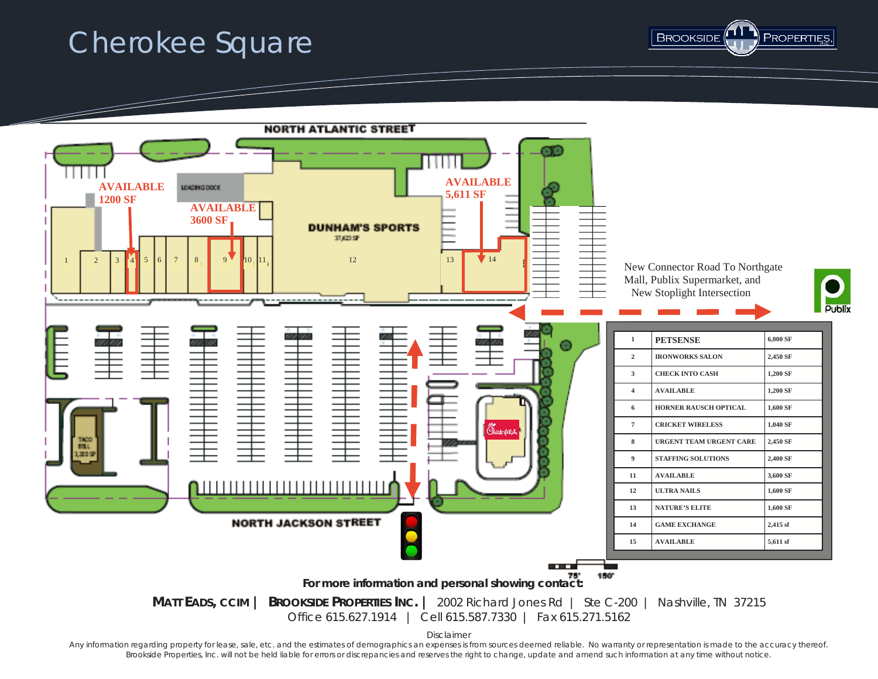



Any information regarding property for lease, sale, etc. and the estimates of demographics an expenses is from sources deemed reliable. No warranty or representation is made to the accuracy thereof. *Brookside Properties, Inc. will not be held liable for errors or discrepancies and reserves the right to change, update and amend such information at any time without notice.*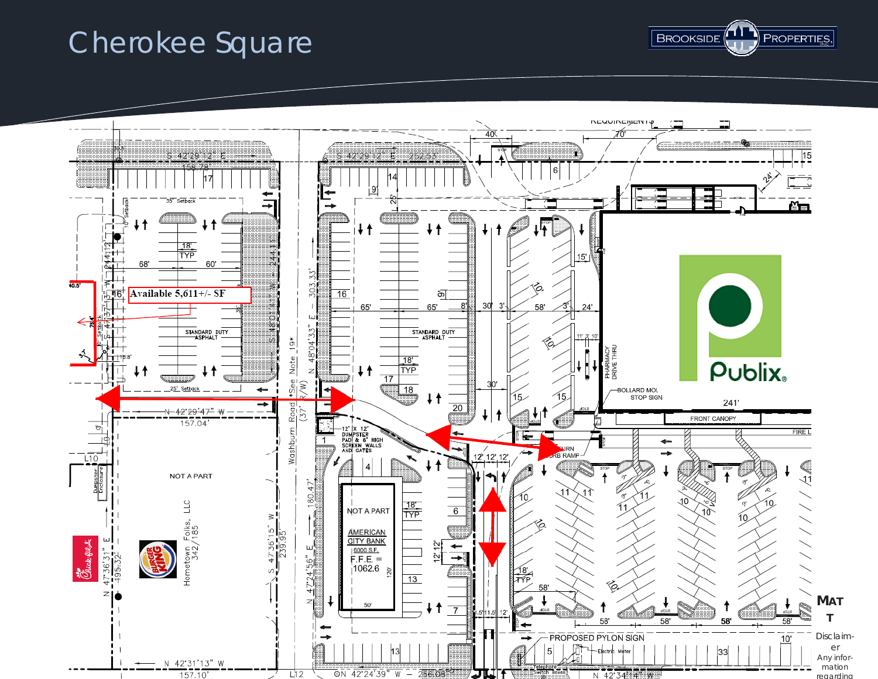

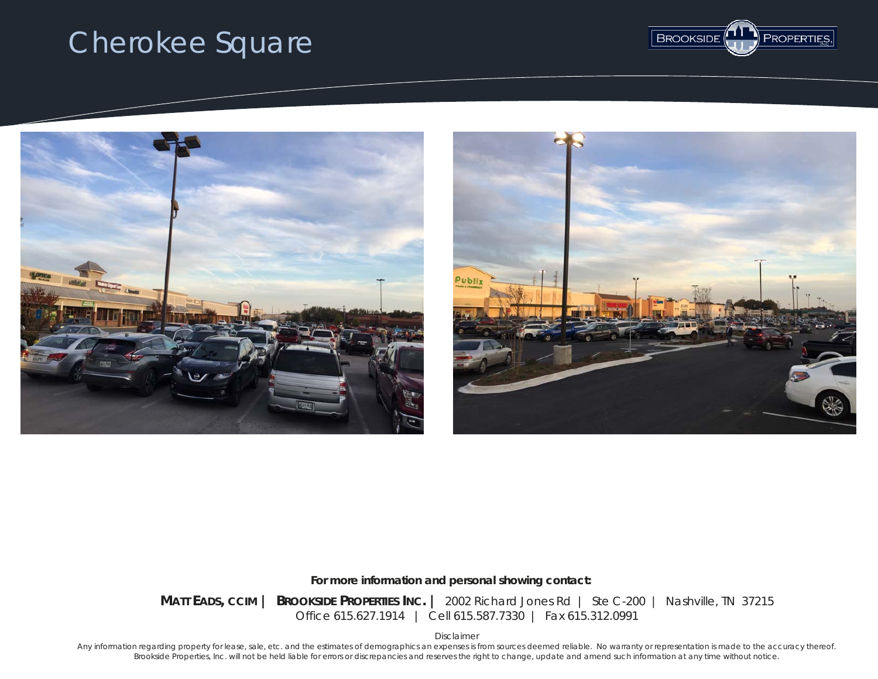



*For more information and personal showing contact:* 

**MATT EADS, CCIM | BROOKSIDE PROPERTIES INC. |** 2002 Richard Jones Rd | Ste C-200 | Nashville, TN 37215 Office 615.627.1914 | Cell 615.587.7330 | Fax 615.312.0991

*Disclaimer* 

*Any information regarding property for lease, sale, etc. and the estimates of demographics an expenses is from sources deemed reliable. No warranty or representation is made to the accuracy thereof. Brookside Properties, Inc. will not be held liable for errors or discrepancies and reserves the right to change, update and amend such information at any time without notice.*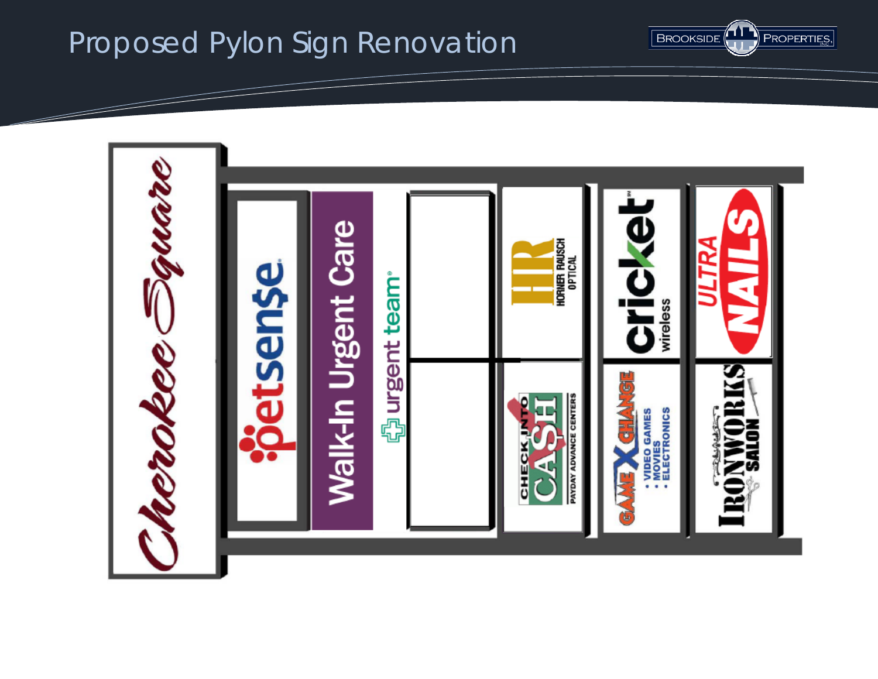

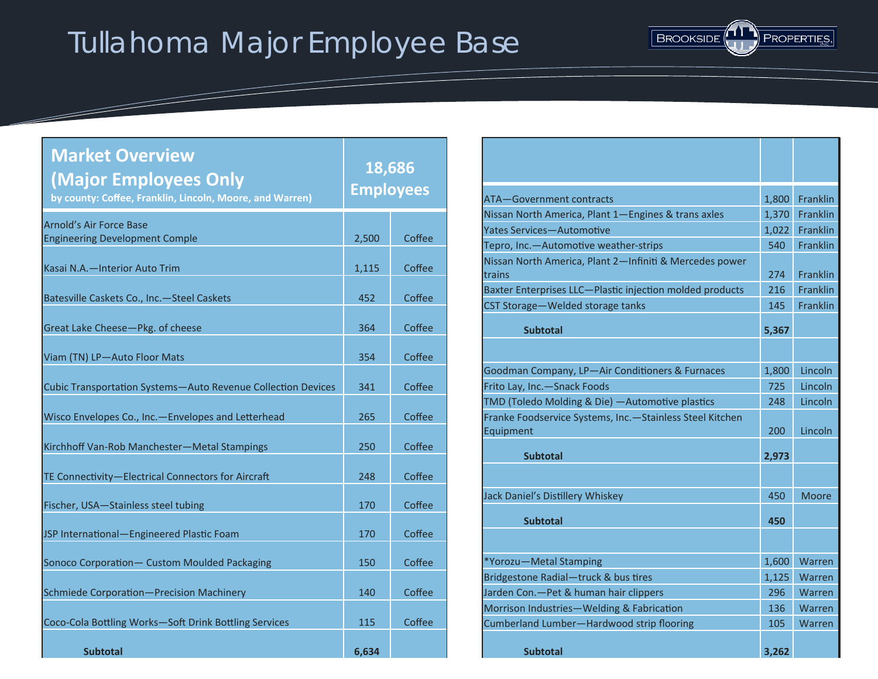# Tullahoma Major Employee Base



| <b>Market Overview</b><br><b>Major Employees Only</b><br>by county: Coffee, Franklin, Lincoln, Moore, and Warren) | 18,686<br><b>Employees</b> |        |
|-------------------------------------------------------------------------------------------------------------------|----------------------------|--------|
| Arnold's Air Force Base<br><b>Engineering Development Comple</b>                                                  | 2,500                      | Coffee |
| Kasai N.A. - Interior Auto Trim                                                                                   | 1,115                      | Coffee |
| Batesville Caskets Co., Inc.-Steel Caskets                                                                        | 452                        | Coffee |
| Great Lake Cheese-Pkg. of cheese                                                                                  | 364                        | Coffee |
| Viam (TN) LP-Auto Floor Mats                                                                                      | 354                        | Coffee |
| Cubic Transportation Systems-Auto Revenue Collection Devices                                                      | 341                        | Coffee |
| Wisco Envelopes Co., Inc.-Envelopes and Letterhead                                                                | 265                        | Coffee |
| Kirchhoff Van-Rob Manchester-Metal Stampings                                                                      | 250                        | Coffee |
| TE Connectivity-Electrical Connectors for Aircraft                                                                | 248                        | Coffee |
| Fischer, USA-Stainless steel tubing                                                                               | 170                        | Coffee |
| JSP International-Engineered Plastic Foam                                                                         | 170                        | Coffee |
| Sonoco Corporation - Custom Moulded Packaging                                                                     | 150                        | Coffee |
| Schmiede Corporation-Precision Machinery                                                                          | 140                        | Coffee |
| Coco-Cola Bottling Works-Soft Drink Bottling Services                                                             | 115                        | Coffee |
| <b>Subtotal</b>                                                                                                   | 6,634                      |        |

<u>and the second contract of the second contract of the second contract of the second contract of the second contract of the second contract of the second contract of the second contract of the second contract of the second</u>

| ATA-Government contracts                                              | 1,800 | <b>Franklin</b> |
|-----------------------------------------------------------------------|-------|-----------------|
| Nissan North America, Plant 1-Engines & trans axles                   | 1,370 | <b>Franklin</b> |
| <b>Yates Services-Automotive</b>                                      | 1,022 | Franklin        |
| Tepro, Inc.-Automotive weather-strips                                 | 540   | Franklin        |
| Nissan North America, Plant 2-Infiniti & Mercedes power<br>trains     | 274   | <b>Franklin</b> |
| Baxter Enterprises LLC-Plastic injection molded products              | 216   | Franklin        |
| CST Storage-Welded storage tanks                                      | 145   | <b>Franklin</b> |
| <b>Subtotal</b>                                                       | 5,367 |                 |
|                                                                       |       |                 |
| Goodman Company, LP-Air Conditioners & Furnaces                       | 1,800 | Lincoln         |
| Frito Lay, Inc.-Snack Foods                                           | 725   | Lincoln         |
| TMD (Toledo Molding & Die) — Automotive plastics                      | 248   | Lincoln         |
| Franke Foodservice Systems, Inc.-Stainless Steel Kitchen<br>Equipment | 200   | Lincoln         |
| <b>Subtotal</b>                                                       | 2,973 |                 |
|                                                                       |       |                 |
| Jack Daniel's Distillery Whiskey                                      | 450   | Moore           |
| <b>Subtotal</b>                                                       | 450   |                 |
|                                                                       |       |                 |
| *Yorozu-Metal Stamping                                                | 1,600 | Warren          |
| Bridgestone Radial-truck & bus tires                                  | 1,125 | Warren          |
| Jarden Con.-Pet & human hair clippers                                 | 296   | Warren          |
| Morrison Industries-Welding & Fabrication                             | 136   | Warren          |
| Cumberland Lumber-Hardwood strip flooring                             | 105   | Warren          |
| <b>Subtotal</b>                                                       | 3,262 |                 |
|                                                                       |       |                 |